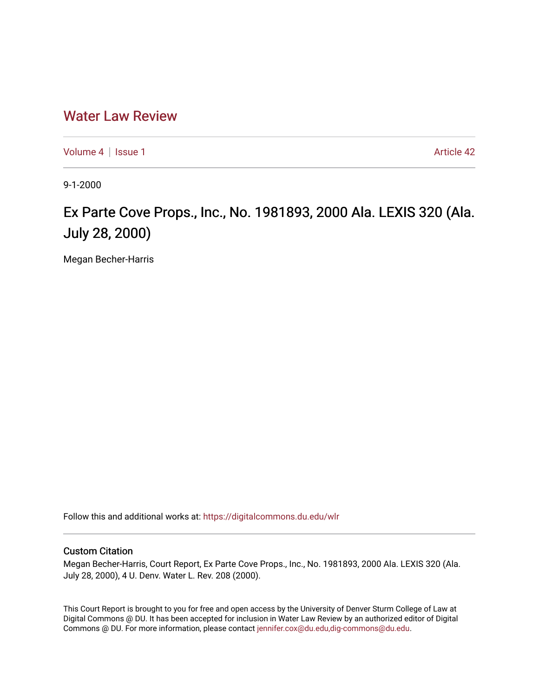# [Water Law Review](https://digitalcommons.du.edu/wlr)

[Volume 4](https://digitalcommons.du.edu/wlr/vol4) | [Issue 1](https://digitalcommons.du.edu/wlr/vol4/iss1) Article 42

9-1-2000

# Ex Parte Cove Props., Inc., No. 1981893, 2000 Ala. LEXIS 320 (Ala. July 28, 2000)

Megan Becher-Harris

Follow this and additional works at: [https://digitalcommons.du.edu/wlr](https://digitalcommons.du.edu/wlr?utm_source=digitalcommons.du.edu%2Fwlr%2Fvol4%2Fiss1%2F42&utm_medium=PDF&utm_campaign=PDFCoverPages) 

## Custom Citation

Megan Becher-Harris, Court Report, Ex Parte Cove Props., Inc., No. 1981893, 2000 Ala. LEXIS 320 (Ala. July 28, 2000), 4 U. Denv. Water L. Rev. 208 (2000).

This Court Report is brought to you for free and open access by the University of Denver Sturm College of Law at Digital Commons @ DU. It has been accepted for inclusion in Water Law Review by an authorized editor of Digital Commons @ DU. For more information, please contact [jennifer.cox@du.edu,dig-commons@du.edu.](mailto:jennifer.cox@du.edu,dig-commons@du.edu)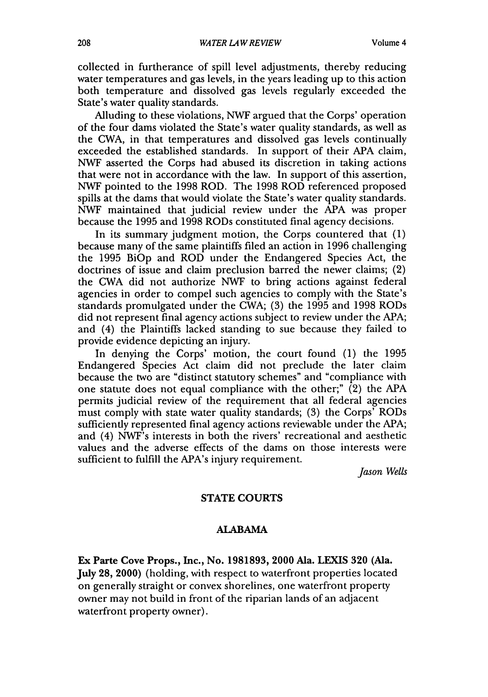collected in furtherance of spill level adjustments, thereby reducing water temperatures and gas levels, in the years leading up to this action both temperature and dissolved gas levels regularly exceeded the State's water quality standards.

Alluding to these violations, NWF argued that the Corps' operation of the four dams violated the State's water quality standards, as well as the CWA, in that temperatures and dissolved gas levels continually exceeded the established standards. In support of their APA claim, NWF asserted the Corps had abused its discretion in taking actions that were not in accordance with the law. In support of this assertion, NWF pointed to the 1998 ROD. The 1998 ROD referenced proposed spills at the dams that would violate the State's water quality standards. NWF maintained that judicial review under the APA was proper because the 1995 and 1998 RODs constituted final agency decisions.

In its summary judgment motion, the Corps countered that (1) because many of the same plaintiffs filed an action in 1996 challenging the 1995 BiOp and ROD under the Endangered Species Act, the doctrines of issue and claim preclusion barred the newer claims; (2) the CWA did not authorize NWF to bring actions against federal agencies in order to compel such agencies to comply with the State's standards promulgated under the CWA; (3) the 1995 and 1998 RODs did not represent final agency actions subject to review under the APA; and (4) the Plaintiffs lacked standing to sue because they failed to provide evidence depicting an injury.

In denying the Corps' motion, the court found (1) the 1995 Endangered Species Act claim did not preclude the later claim because the two are "distinct statutory schemes" and "compliance with one statute does not equal compliance with the other;"  $(2)$  the APA permits judicial review of the requirement that all federal agencies must comply with state water quality standards; (3) the Corps' RODs sufficiently represented final agency actions reviewable under the APA; and (4) NWF's interests in both the rivers' recreational and aesthetic values and the adverse effects of the dams on those interests were sufficient to fulfill the APA's injury requirement.

*Jason Wells*

### **STATE COURTS**

#### ALABAMA

Ex Parte Cove Props., Inc., No. **1981893,** 2000 Ala. **LEXIS 320** (Ala. July 28, 2000) (holding, with respect to waterfront properties located on generally straight or convex shorelines, one waterfront property owner may not build in front of the riparian lands of an adjacent waterfront property owner).